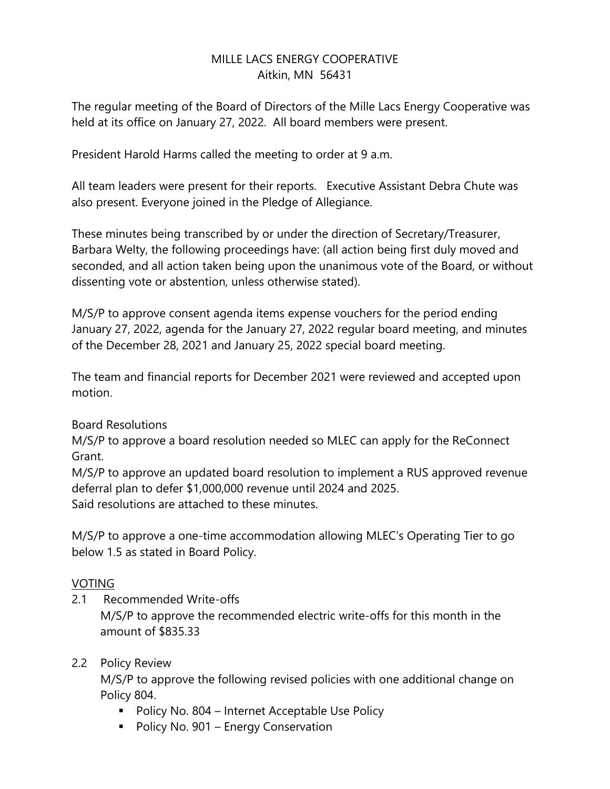# MILLE LACS ENERGY COOPERATIVE Aitkin, MN 56431

The regular meeting of the Board of Directors of the Mille Lacs Energy Cooperative was held at its office on January 27, 2022. All board members were present.

President Harold Harms called the meeting to order at 9 a.m.

All team leaders were present for their reports. Executive Assistant Debra Chute was also present. Everyone joined in the Pledge of Allegiance.

These minutes being transcribed by or under the direction of Secretary/Treasurer, Barbara Welty, the following proceedings have: (all action being first duly moved and seconded, and all action taken being upon the unanimous vote of the Board, or without dissenting vote or abstention, unless otherwise stated).

M/S/P to approve consent agenda items expense vouchers for the period ending January 27, 2022, agenda for the January 27, 2022 regular board meeting, and minutes of the December 28, 2021 and January 25, 2022 special board meeting.

The team and financial reports for December 2021 were reviewed and accepted upon motion.

### Board Resolutions

M/S/P to approve a board resolution needed so MLEC can apply for the ReConnect Grant.

M/S/P to approve an updated board resolution to implement a RUS approved revenue deferral plan to defer \$1,000,000 revenue until 2024 and 2025. Said resolutions are attached to these minutes.

M/S/P to approve a one-time accommodation allowing MLEC's Operating Tier to go below 1.5 as stated in Board Policy.

### VOTING

2.1 Recommended Write-offs M/S/P to approve the recommended electric write-offs for this month in the amount of \$835.33

### 2.2 Policy Review

M/S/P to approve the following revised policies with one additional change on Policy 804.

- Policy No. 804 Internet Acceptable Use Policy
- Policy No. 901 Energy Conservation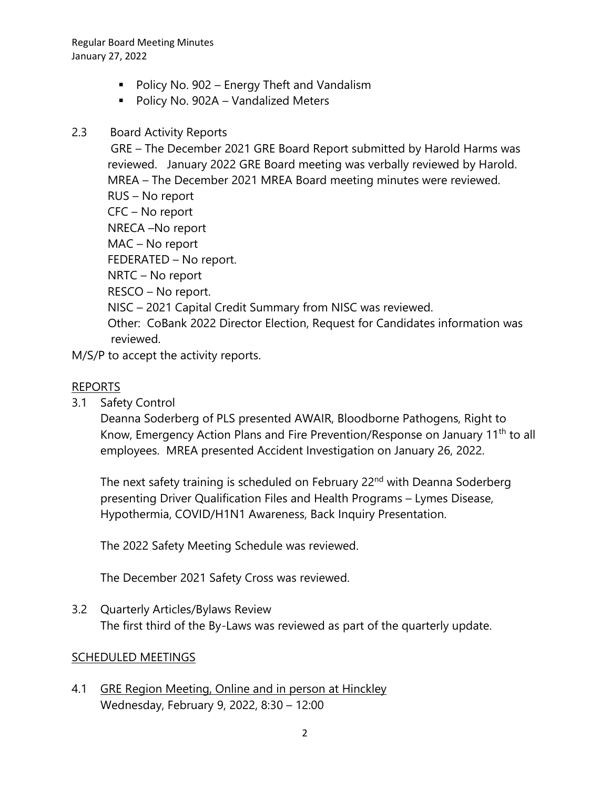Regular Board Meeting Minutes January 27, 2022

- Policy No. 902 Energy Theft and Vandalism
- Policy No. 902A Vandalized Meters
- 2.3 Board Activity Reports

GRE – The December 2021 GRE Board Report submitted by Harold Harms was reviewed. January 2022 GRE Board meeting was verbally reviewed by Harold. MREA – The December 2021 MREA Board meeting minutes were reviewed. RUS – No report CFC – No report NRECA –No report MAC – No report FEDERATED – No report. NRTC – No report RESCO – No report. NISC – 2021 Capital Credit Summary from NISC was reviewed. Other: CoBank 2022 Director Election, Request for Candidates information was reviewed.

M/S/P to accept the activity reports.

## REPORTS

3.1 Safety Control

Deanna Soderberg of PLS presented AWAIR, Bloodborne Pathogens, Right to Know, Emergency Action Plans and Fire Prevention/Response on January 11<sup>th</sup> to all employees. MREA presented Accident Investigation on January 26, 2022.

The next safety training is scheduled on February 22<sup>nd</sup> with Deanna Soderberg presenting Driver Qualification Files and Health Programs – Lymes Disease, Hypothermia, COVID/H1N1 Awareness, Back Inquiry Presentation.

The 2022 Safety Meeting Schedule was reviewed.

The December 2021 Safety Cross was reviewed.

3.2 Quarterly Articles/Bylaws Review The first third of the By-Laws was reviewed as part of the quarterly update.

### SCHEDULED MEETINGS

4.1 GRE Region Meeting, Online and in person at Hinckley Wednesday, February 9, 2022, 8:30 – 12:00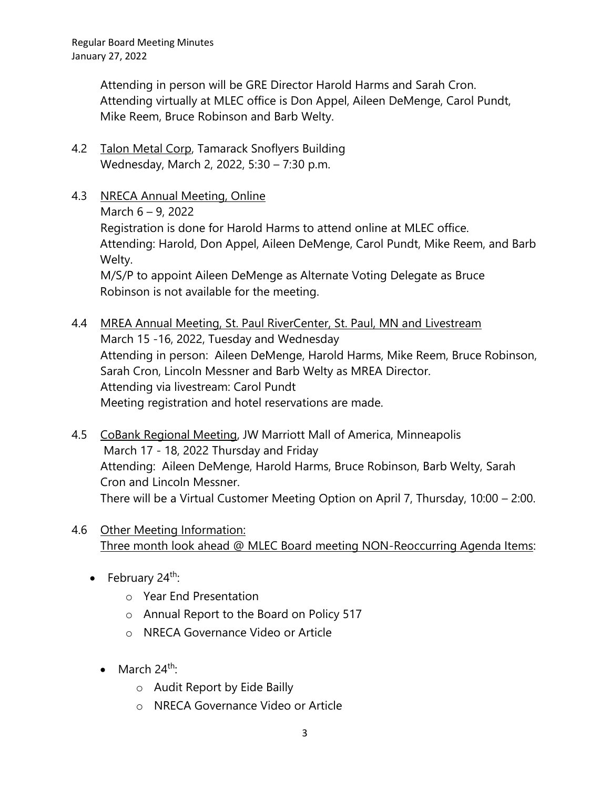Attending in person will be GRE Director Harold Harms and Sarah Cron. Attending virtually at MLEC office is Don Appel, Aileen DeMenge, Carol Pundt, Mike Reem, Bruce Robinson and Barb Welty.

- 4.2 Talon Metal Corp, Tamarack Snoflyers Building Wednesday, March 2, 2022, 5:30 – 7:30 p.m.
- 4.3 NRECA Annual Meeting, Online March 6 – 9, 2022 Registration is done for Harold Harms to attend online at MLEC office. Attending: Harold, Don Appel, Aileen DeMenge, Carol Pundt, Mike Reem, and Barb Welty. M/S/P to appoint Aileen DeMenge as Alternate Voting Delegate as Bruce Robinson is not available for the meeting.
- 4.4 MREA Annual Meeting, St. Paul RiverCenter, St. Paul, MN and Livestream March 15 -16, 2022, Tuesday and Wednesday Attending in person: Aileen DeMenge, Harold Harms, Mike Reem, Bruce Robinson, Sarah Cron, Lincoln Messner and Barb Welty as MREA Director. Attending via livestream: Carol Pundt Meeting registration and hotel reservations are made.
- 4.5 CoBank Regional Meeting, JW Marriott Mall of America, Minneapolis March 17 - 18, 2022 Thursday and Friday Attending: Aileen DeMenge, Harold Harms, Bruce Robinson, Barb Welty, Sarah Cron and Lincoln Messner. There will be a Virtual Customer Meeting Option on April 7, Thursday, 10:00 – 2:00.
- 4.6 Other Meeting Information: Three month look ahead @ MLEC Board meeting NON-Reoccurring Agenda Items:
	- February  $24^{\text{th}}$ :
		- o Year End Presentation
		- o Annual Report to the Board on Policy 517
		- o NRECA Governance Video or Article
		- March  $24^{\text{th}}$ :
			- o Audit Report by Eide Bailly
			- o NRECA Governance Video or Article